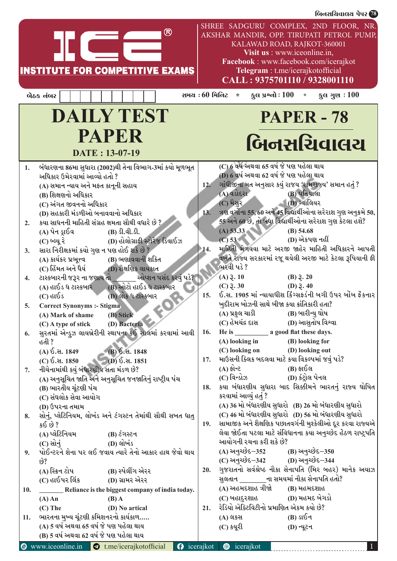|                  |                                                   | <b>INSTITUTE FOR COMPETITIVE EXAMS</b>                                               | ®                     |                        |                                    | KALAWAD ROAD, RAJKOT-360001<br>Visit us : www.iceonline.in,<br>Facebook: www.facebook.com/icerajkot<br>Telegram : t.me/icerajkotofficial<br>CALL: 9375701110 / 9328001110 | SHREE SADGURU COMPLEX, 2ND FLOOR, NR.<br>AKSHAR MANDIR, OPP. TIRUPATI PETROL PUMP,                               |
|------------------|---------------------------------------------------|--------------------------------------------------------------------------------------|-----------------------|------------------------|------------------------------------|---------------------------------------------------------------------------------------------------------------------------------------------------------------------------|------------------------------------------------------------------------------------------------------------------|
|                  | બેઠક નંબર                                         |                                                                                      |                       | સમય : 60 મિ <b>નિટ</b> | $\star$                            | કુલ પ્રશ્નો : 100<br>$\star$                                                                                                                                              | કુલ ગુણ $:100$                                                                                                   |
|                  |                                                   | <b>DAILY TEST</b>                                                                    |                       |                        |                                    | <b>PAPER - 78</b>                                                                                                                                                         |                                                                                                                  |
|                  |                                                   | PAPER                                                                                |                       |                        |                                    |                                                                                                                                                                           | બિનસચિવાલય                                                                                                       |
|                  |                                                   | DATE: 13-07-19                                                                       |                       |                        |                                    |                                                                                                                                                                           |                                                                                                                  |
| 1.               | અધિકાર ઉમેરવામાં આવ્યો હતો ?                      | બંધારણના 86મા સુધારા (2002)થી તેના વિભાગ-3માં કયો મૂળભૂત                             |                       |                        |                                    | (C) 6 વર્ષ અથવા 65 વર્ષ જે પણ પહેલા થાય<br>(D) 6 વર્ષ અથવા 62 વર્ષ જે પણ પહેલા થાય                                                                                        |                                                                                                                  |
|                  | (A) સમાન ન્યાય અને મફત કાનૂની સહાય                |                                                                                      |                       | 12.                    |                                    | ગાંધીજીના મત અનુસાર કયું રાજય 'રામરાજ્ય' સમાન હતું ?                                                                                                                      |                                                                                                                  |
|                  | (B) શિક્ષણનો અધિકાર                               |                                                                                      |                       |                        | (A) વડોદરા <i>ં</i>                | (B) પતિયાલા                                                                                                                                                               |                                                                                                                  |
|                  | (C) અંગત જીવનનો અધિકાર                            |                                                                                      |                       | 13.                    | (C) મૈસર                           | (D) ગ્વાલિયર                                                                                                                                                              | ત્રણ વર્ગોના 55, 60 અને 45 વિદ્યાર્થીઓના સરેરાશ ગુણ અનુક્રમે 50,                                                 |
| 2.               |                                                   | (D) સહકારી મંડળીઓ બનાવવાનો અધિકાર<br>કયા સાધનની માહિતી સંગ્રહ ક્ષમતા સૌથી વધારે છે ? |                       |                        |                                    |                                                                                                                                                                           | 55 અને 60 છે, તો બધા વિદ્યાર્થીઓના સરેરાશ ગુણ કેટલા હશે?                                                         |
|                  | (A) પેન ડ્રાઈવ                                    | $(B)$ $\Omega$ . $\Omega$ .                                                          |                       |                        | (A) 53.33                          | $(B)$ 54.68                                                                                                                                                               |                                                                                                                  |
|                  | (C) બ્લ્યૂ રે                                     | (D) હોલોગ્રાફી સ્ટોરેજ ડિવાઈઝ                                                        |                       |                        | (C) 53                             | (D) એકપણ નહીં                                                                                                                                                             |                                                                                                                  |
| 3.               |                                                   | સારા નિરીક્ષકમાં કયો ગુણ ન પણ હોઈ શકે છે ?                                           |                       | 14.                    |                                    |                                                                                                                                                                           | માહિતી મેળવવા માટે અરજી જાહેર માહિતી અધિકારને આપતી                                                               |
|                  | (A) કાર્યકર પ્રભૂ <del>ત્</del> વ                 | (B) ભણાવવાની શકિત                                                                    |                       |                        |                                    |                                                                                                                                                                           | વખતે રાજ્ય સરકારમાં રજૂ થયેલી અરજી માટે કેટલા રૂપિયાની ફી                                                        |
|                  | (C) હિંમત અને ધૈર્ય                               | (D) શૈક્ષણિક લાયકાત                                                                  |                       |                        | ભરવી પડે?<br>$(A)$ $\bar{z}$ . 10  | $(B)$ 3. 20                                                                                                                                                               |                                                                                                                  |
| $\overline{4}$ . | ટાસ્કબારની જરૂર ના જણાય તો<br>(A) હાઈડ ધ ટાસ્કબાર | (B) ઓટો હાઈડ ધ ટાસ્કબાર                                                              | ઓપ્શન પસંદ કરવું પડે? |                        | $(C)$ $\bar{z}$ . 30               | (D) $3.40$                                                                                                                                                                |                                                                                                                  |
|                  | $(C)$ હાઈડ                                        | (D) લોક ધ ટાસ્કબાર                                                                   |                       | 15.                    |                                    |                                                                                                                                                                           | ઈ.સ. 1905 માં ન્યાયાધીશ કિંગ્સફર્ડની બગી ઉપર બોંબ ફેંકનાર                                                        |
| 5.               | <b>Correct Synonyms :- Stigma</b>                 |                                                                                      |                       |                        |                                    | ખુદીરામ બોઝની સાથે બીજા કયા ક્રાંતિકારી હતા?                                                                                                                              |                                                                                                                  |
|                  | (A) Mark of shame                                 | (B) Stick                                                                            |                       |                        | (A) પ્રફુલ ચાડી                    | (B) બારીન્યુ ઘોષ                                                                                                                                                          |                                                                                                                  |
|                  |                                                   | (C) A type of stick (D) Bacteria                                                     |                       |                        |                                    |                                                                                                                                                                           |                                                                                                                  |
| 6.               |                                                   | સુરતમાં એન્ડ્રુઝ લાયબ્રેરીની સ્થાપના કઈ સાલમાં કરવામાં આવી                           |                       | 16.                    |                                    |                                                                                                                                                                           |                                                                                                                  |
|                  | હતી ?                                             |                                                                                      |                       |                        | (A) looking in                     | (B) looking for<br>(C) looking on (D) looking out                                                                                                                         |                                                                                                                  |
|                  | (A) ઈ.સ. 1849                                     | $(B)$ ઈ.સ. 1848<br>(C) $\delta$ . at. 1850 (D) $\delta$ . at. 1851                   |                       | 17.                    |                                    | માઉસની ક્લિક બદલવા માટે કયા વિકલ્પમાં જવું પડે?                                                                                                                           |                                                                                                                  |
| 7.               | નીચેનામાંથી કયું બંધારણીય સતા મંડળ છે?            |                                                                                      |                       |                        | $\mathsf{S}^{\dagger}(\mathsf{A})$ | (B) ફાઈલ                                                                                                                                                                  |                                                                                                                  |
|                  |                                                   | (A) અનુસૂચિત જાતિ અને અનુસૂચિત જનજાતિનું રાષ્ટ્રીય પંચ                               |                       |                        |                                    | $(C)$ વિન્ડોઝ $(D)$ કંટ્રોલ પેનલ                                                                                                                                          |                                                                                                                  |
|                  | (B) ભારતીય ચૂંટણી પંચ                             |                                                                                      |                       | 18.                    |                                    |                                                                                                                                                                           | કયા બંધારણીય સુધારા બાદ સિક્કીમને ભારતનું રાજ્ય ઘોષિત                                                            |
|                  | (C) સંઘલોક સેવા આયોગ                              |                                                                                      |                       |                        | કરવામાં આવ્યું હતું ?              |                                                                                                                                                                           |                                                                                                                  |
|                  | (D) ઉપરના તમામ                                    |                                                                                      |                       |                        |                                    |                                                                                                                                                                           | (A) 36 મો બંધારણીય સુધારો (B) 26 મો બંધારણીય સુધારો                                                              |
| 8.               | કઈ છે ?                                           | સોનું, પ્લેટિનિયમ, લોખંડ અને ટંગસ્ટન તેમાંથી સૌથી સખત ધાતુ                           |                       | 19.                    |                                    |                                                                                                                                                                           | (C) 46 મો બંધારણીય સુધારો (D) 56 મો બંધારણીય સુધારો<br>સામાજીક અને શૈક્ષણિક પછાતવર્ગની મુશ્કેલીઓ દૂર કરવા રાજ્યએ |
|                  | (A) પ્લેટિનિયમ                                    | (B) ટંગસ્ટન                                                                          |                       |                        |                                    |                                                                                                                                                                           | લેવા જોઈતા પટલા માટે સંવિધાનના કયા અનુચ્છેદ હેઠળ રાષ્ટ્રપતિ                                                      |
|                  | $(C)$ સોનું                                       | (D) લોખંડ                                                                            |                       |                        | આયોગની રચના કરી શકે છે?            |                                                                                                                                                                           |                                                                                                                  |
| 9.               |                                                   | પોઈન્ટરને શેના પર લઈ જવાય ત્યારે તેનો આકાર હાથ જેવો થાય                              |                       |                        |                                    | (A) અનુચ્છેદ-352 (B) અનુચ્છેદ-350                                                                                                                                         |                                                                                                                  |
|                  | છે?                                               |                                                                                      |                       |                        |                                    | (C) અનુચ્છેદ-342 (D) અનુચ્છેદ-344                                                                                                                                         |                                                                                                                  |
|                  | (A) સ્ક્રિન ટોપ                                   | (B) સ્પેલીંગ એરર                                                                     |                       | 20.                    |                                    |                                                                                                                                                                           | ગુજરાતનો સર્વશ્રેષ્ઠ નૌકા સેનાપતિ (મિર બહર) માનેક અયાઝ                                                           |
|                  |                                                   | (C) હાઈપર લિંક (D) ગ્રામર એરર                                                        |                       |                        | (A) અહમદશાહ ત્રીજો                 | સુલતાન ________ના સમયમાં નૌકા સેનાપતિ હતો?<br>(B) મહમદશાહ                                                                                                                 |                                                                                                                  |
| 10.              | $(A)$ An                                          | $(B)$ A                                                                              |                       |                        |                                    | (C) બહાદુરશાહ (D) મહમદ બેગડો                                                                                                                                              |                                                                                                                  |
|                  | $(C)$ The                                         | (D) No artical                                                                       |                       | 21.                    |                                    | રેડિયો એક્ટિવિટીનો પ્રમાણિત એકમ કયો છે?                                                                                                                                   |                                                                                                                  |
| 11.              |                                                   | ભારતના મુખ્ય ચૂંટણી કમિશનરનો કાર્યકાળ                                                |                       |                        | (A) લકસ                            | $(B)$ ડાઈન                                                                                                                                                                |                                                                                                                  |
|                  |                                                   | (A) 5 વર્ષ અથવા 65 વર્ષ જે પણ પહેલા થાય                                              |                       |                        | (C) કયૂરી                          | (D) ન્યૂટન                                                                                                                                                                |                                                                                                                  |
|                  |                                                   | (B) 5 વર્ષ અથવા 62 વર્ષ જે પણ પહેલા થાય                                              |                       |                        |                                    |                                                                                                                                                                           |                                                                                                                  |
|                  |                                                   | $\odot$ www.iceonline.in $\odot$ t.me/icerajkotofficial                              | $\Omega$              | $i$ cerajkot           | <b>t</b> icerajkot                 |                                                                                                                                                                           |                                                                                                                  |

 $\frac{1}{\sqrt{3}}$ િક્યુરા $\frac{1}{\sqrt{3}}$  ,  $\frac{1}{\sqrt{3}}$  ,  $\frac{1}{\sqrt{3}}$  ,  $\frac{1}{\sqrt{3}}$  ,  $\frac{1}{\sqrt{3}}$  ,  $\frac{1}{\sqrt{3}}$  ,  $\frac{1}{\sqrt{3}}$  ,  $\frac{1}{\sqrt{3}}$  ,  $\frac{1}{\sqrt{3}}$  ,  $\frac{1}{\sqrt{3}}$  ,  $\frac{1}{\sqrt{3}}$  ,  $\frac{1}{\sqrt{3}}$  ,  $\frac{1}{\sqrt{3}}$  ,  $\frac{1}{$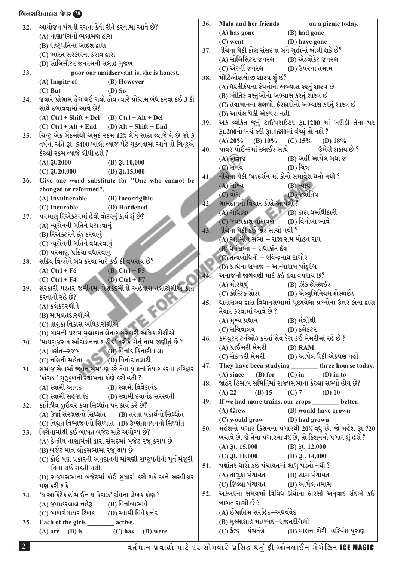# lAG;lRJF,I 5[5Z **78** lAG;lRJF,I 5[5Z **78**

| 22. | આયોજન પંચની રચના કેવી રીતે કરવામાં આવે છે?                        | 36. | Mala and her friends _________ on a picnic today.                |
|-----|-------------------------------------------------------------------|-----|------------------------------------------------------------------|
|     | (A) નાણાપંચની ભલામણ દ્વારા                                        |     | (B) had gone<br>(A) has gone                                     |
|     | (B) રાષ્ટ્રપતિના આદેશ દ્વારા                                      |     | $(C)$ went<br>(D) have gone                                      |
|     | (C) ભારત સરકારના ઠરાવ દ્વારા                                      | 37. | નીચેના પૈકી કોણ સંસદના બંને ગૃહોમાં બોલી શકે છે?                 |
|     |                                                                   |     | (B) એડવોકેટ જનરલ<br>(A) સોલિસિટર જનરલ                            |
|     | (D) સોલિસીટર જનરલની સલાહ મુજબ                                     |     | (C) એટર્ની જનરલ<br>(D) ઉપરના તમામ                                |
| 23. | poor our maidservant is, she is honest.                           | 38. | મીટિઓરાલોજી શાસ્ત્ર શું છે?                                      |
|     | (A) Inspitr of<br>(B) However                                     |     | (A) ધરતીકંપના કંપનોનો અભ્યાસ કરતું શાસ્ત્ર છે                    |
|     | $(C)$ But<br>$(D)$ So                                             |     | (B) ભૌતિક વસ્તુઓનો અભ્યાસ કરતું શાસ્ત્ર છે                       |
| 24. | જયારે પ્રોગ્રામ હેંગ થઈ ગયો હોય ત્યારે પ્રોગ્રામ બંધ કરવા કઈ 3 કી |     | (C) હવામાનના લક્ષણો, ફેરફારોનો અભ્યાસ કરતું શાસ્ત્ર છે           |
|     | સાથે દબાવવામાં આવે છે?                                            |     | (D) આપેલ પૈકી એકપણ નહીં                                          |
|     | (A) $Ctrl + Shift + Del$ (B) $Ctrl + Alt + Del$                   |     | એક વ્યકિત જૂનું ટાઈપરાઈટર રૂા.1200 માં ખરીદી તેના પર             |
|     | $(C)$ Ctrl + Alt + End $(D)$ Alt + Shift + End                    | 39. |                                                                  |
| 25. | ચિન્ટુ એક બેંકમાંથી અમુક રકમ 12% લેખે સાદા વ્યાજે લે છે જો 3      |     | રૂા.200નો ખર્ચ કરી રૂા.1680માં વેંચ્યું તો નફો ?                 |
|     | વર્ષના અંતે રૂા. 5400 ખાલી વ્યાજ પેટે ચૂકવવામાં આવે તો ચિન્ટુએ    |     | (A) $20\%$ (B) $10\%$ (C) $15\%$ (D) $18\%$                      |
|     | કેટલી રકમ વ્યાજે લીધી હશે ?                                       | 40. | પાવર પોઈન્ટમાં સ્લાઈડ સાથે _______ ઉમેરી શકાય છે ?               |
|     | $(A)$ $\gtrsim 2000$<br>$(B)$ $\xi$ l.10,000                      |     | (B) અહીં આપેલ બધા જ<br>$(A)$ અવાજ                                |
|     | (C) $\mathfrak{J}1.20,000$ (D) $\mathfrak{J}1.15,000$             |     | (D) ચિત્ર<br>(C) સમય                                             |
| 26. | Give one word substitute for "One who cannot be                   | 41. | નીચેના પૈકી 'પડદર્શન'માં કોનો સમાવેશ થતો નથી ?                   |
|     | changed or reformed".                                             |     | $(A)$ સાંખ્ય<br>(B) ન્યાય                                        |
|     | (A) Invulnerable<br>(B) Incorrigible                              |     | $(C)$ યોગ $\overline{C}$<br>_ (D) જ્યોતિષ                        |
|     | (C) Incurable<br>(D) Hardened                                     | 42. | ગ્રામદાનનો વિચાર કોણે આપેલો ?                                    |
| 27. | પરમાણુ રિએકટરમાં હેવી વોટરનું કાર્ય શું છે?                       |     | (A) ગાંધીજી (B) દાદા ધર્માથીકારી                                 |
|     | (A) ન્યૂટોનની ગતિને ઘટાડવાનું                                     |     | (C) જયપ્રકાશ નારાયણ (D) વિનોબા ભાવે                              |
|     | (B) રિએક્ટરને ઠંડુ કરવાનું                                        | 43. | નીચેના પૈકી કઈ જોડ સાચી નથી ?                                    |
|     | (C) ન્યૂટોનની ગતિને વધારવા <u>નું</u>                             |     | (A) આત્મીય સભા – રાજા રામ મોહન રાય                               |
|     | (D) પરમાણું પ્રક્રિયા વધારવાનું                                   |     | (B) ધર્મસભા – રાધાકાંત દેવ                                       |
| 28. | સક્રિય વિન્ડોને બંધ કરવા માટે કઈ કી વપરાય છે?                     |     | (C) તત્વબોધિની – રવિન્દ્રનાથ ટાગોર                               |
|     | $(A)$ Ctrl + F6<br>$(B)$ Ctrl + F5                                |     | (D) પ્રાર્થના સમાજ – આત્મારામ પાંડુરંગ                           |
|     | (C) Ctrl + F4 (D) Ctrl + F7                                       |     | અનાજની જાળવણી માટે કઈ દવા વપરાય છે?                              |
| 29. | સરકારી પડતર જમીનમાં પેશકદમીનો અહેવાલ તલાટીશ્રીએ કોને              |     | (A) મોરથૂથું<br>(B) ઝિંક ફોરફાઈડ                                 |
|     | કરવાનો રહે છે?                                                    |     |                                                                  |
|     | (A) કલેકટરશ્રીને                                                  | 45. | ધારાસભ્ય દ્વારા વિધાનસભામાં પૂછાયેલા પ્રશ્નોના ઉત્તર કોના દ્વારા |
|     | (B) મામલતદારશ્રીએ                                                 |     | તૈયાર કરવામાં આવે છે ?                                           |
|     | (C) તાલુકા વિકાસ અધિકારીશ્રીએ                                     |     | (A) મુખ્ય પ્રધાન (B) મંત્રીશ્રી                                  |
|     | (D) ગામની પ્રથમ મુલાકાત લેનાર સરકારી અધિકારીશ્રીએ                 |     | (C) સચિવાલય                     (D) કલેકટર                       |
| 30. | 'મહાગુજરાત આંદોલનના શહીદ' તરીકે કોનું નામ જાણીતું છે ?            | 46. | કમ્પ્યુટર ટર્નઓફ કરતાં સેવ ડેટા કઈ મેમરીમાં રહે છે ?             |
|     | (A) વસંત–રજબ (B) વિનોદ કિનારીવાલા                                 |     | (A) પ્રાઈમરી મેમરી<br>$(B)$ RAM                                  |
|     | $(C)$ નલિની મહેતા $(D)$ વિનોદ તલાટી                               |     | (C) સેકન્ડરી મેમરી (D) આપેલ પૈકી એકપણ નહીં                       |
| 31. | સમાજ સેવામાં જીવન સમર્પણ કરે તેવા યુવાનો તૈયાર કરવા હરિદ્વાર      | 47. | They have been studying ________ three hourse today.             |
|     | 'કાંગડા' ગુરૂકુળની સ્થાપના કોણે કરી હતી ?                         |     | $(A)$ since<br>$(B)$ for<br>$(C)$ in<br>$(D)$ in to              |
|     | (A) સ્વામી આનંદ (B) સ્વામી વિવેકાનંદ                              | 48. | જાહેર હિસાબ સમિતિમાં રાજ્યસભાના કેટલા સભ્યો હોય છે?              |
|     | $(C)$ સ્વામી સહજાનંદ $(D)$ સ્વામી દયાનંદ સરસ્વતી                  |     | (B) 15 (C) 7 (D) 10<br>(A) 22                                    |
| 32. | કાર્તેઝીય ડ્રાઈવર કયા સિઘ્ધાંત પર કાર્ય કરે છે?                   | 49. | If we had more trains, our crops _______ better.                 |
|     | (A) ઉર્જા સંરક્ષણનો સિધ્ધાંત (B) તરતા પદાર્થનો સિધ્ધાંત           |     | (B) would have grown<br>$(A)$ Grew                               |
|     | (C) વિદ્યુત વિભાજનનો સિધ્ધાંત (D) ઉષ્ણતાનયનનો સિધ્ધાંત            |     | (C) would grow (D) had grown                                     |
| 33. | નિચેનામાંથી કઈ બાબત બજેટ માટે અયોગ્ય છે?                          | 50. | મહેશનો પગાર કિશનના પગારથી 20% વધુ છે. જો મહેશ રૂા.720            |
|     | (A) કેન્દ્રીય નાણામંત્રી દ્વારા સંસદમાં બજેટ રજૂ કરાય છે          |     | બચાવે છે. જે તેના પગારના 4% છે, તો કિશનનો પગાર શું હશે ?         |
|     | (B) બજેટ માત્ર લોકસભામાં રજૂ થાય છે                               |     | $(A)$ $\lambda$ l. 15,000<br>$(B)$ $\lambda$ l. 12,000           |
|     | (C) કોઈ પણ પ્રકારની અનુદાનની માંગણી રાષ્ટ્રપતીની પૂર્વ મંજૂરી     |     | (C) $\mathfrak{Z}1. 10,000$ (D) $\mathfrak{Z}1. 14,000$          |
|     | વિના થઈ શકતી નથી.                                                 | 51. | પક્ષાંતર ધારો કઈ પંચાયતમાં લાગુ પડતો નથી ?                       |
|     | (D) રાજયસભાના બજેટમાં કોઈ સુધારો કરી શકે અને અસ્વીકાર             |     | (A) તાલુકા પંચાયત<br>(B) ગ્રામ પંચાયત                            |
|     | પણ કરી શકે                                                        |     | (C) જિલ્લા પંચાયત (D) આપેલ તમામ                                  |
| 34. | 'ધ આર્કિટેક હોમ ઈન ધ વેદાઝ' ગ્રંથના લેખક કોણ ?                    | 52. | અકબરના સમયમાં વિવિધ ગ્રંથોના ફારસી અનુવાદ સંદર્ભે કઈ             |
|     | (A) જવાહરલાલ નહેરૂ (B) વિનોબાભાવે                                 |     | બાબત સાચી છે ?                                                   |
|     | (C) બાળગંગાધર ટિળક (D) સ્વામી વિવેકાનંદ                           |     | (A) ઈબ્રાહિમ સરહિદ–અથર્વવેદ                                      |
| 35. | Each of the girls _________ active.                               |     | (B) મુલ્લાશાહ મહમ્મદ–રાજતરંગિણી                                  |
|     |                                                                   |     | (C) ફૈજી – પંચતંત્ર (D) મોલના શેરી–હરિવંશ પુરાણ                  |
|     | $(A)$ are $(B)$ is<br>$(C)$ has<br>(D) were                       |     |                                                                  |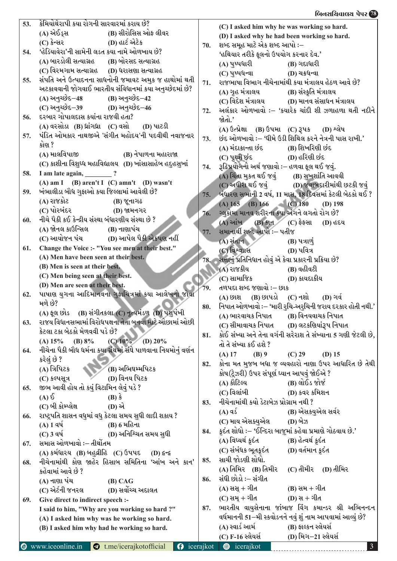### $\frac{1}{\sqrt{3}}$ િક્યુરા $\frac{1}{\sqrt{3}}$  ,  $\frac{1}{\sqrt{3}}$  ,  $\frac{1}{\sqrt{3}}$  ,  $\frac{1}{\sqrt{3}}$  ,  $\frac{1}{\sqrt{3}}$  ,  $\frac{1}{\sqrt{3}}$  ,  $\frac{1}{\sqrt{3}}$  ,  $\frac{1}{\sqrt{3}}$  ,  $\frac{1}{\sqrt{3}}$  ,  $\frac{1}{\sqrt{3}}$  ,  $\frac{1}{\sqrt{3}}$  ,  $\frac{1}{\sqrt{3}}$  ,  $\frac{1}{\sqrt{3}}$  ,  $\frac{1}{$

| 53. | કેમિયોથેરાપી કયા રોગની સારવારમાં કરાય છે?                        |     | (C) I asked him why he was working so hard.                                         |
|-----|------------------------------------------------------------------|-----|-------------------------------------------------------------------------------------|
|     | (A) એઈડ્સ (B) સીરોસિસ ઓફ લીવર                                    |     | (D) I asked why he had been working so hard.                                        |
|     | (C) કેન્સર (D) હાર્ટ એટેક                                        | 70. | શબ્દ સમૂહ માટે એક શબ્દ આપો :–                                                       |
| 54. | 'હેડિયાવેરા'ની સામેની લડત કયા નામે ઓળખાય છે?                     |     | 'હથિયાર તરીકે ફૂલનો ઉપયોગ કરનાર દેવ.'                                               |
|     | (A) બારડોલી સત્યાગ્રહ        (B) બોરસદ સત્યાગ્રહ                 |     | (A) પુષ્પધારી<br>(B) ગદાધારી                                                        |
|     | (C) વિરમગામ સત્યાગ્રહ (D) ધરાસણા સત્યાગ્રહ                       |     | (C) પુષ્પધન્વા<br>(D) ચક્રધન્વા                                                     |
| 55. | સંપતિ અને ઉત્પાદનના સાધનોની જમાવટ અમુક જ હાથોમાં થતી             | 71. | રાજભાષા વિભાગ નીચેનામાંથી કયા મંત્રાલય હેઠળ આવે છે?                                 |
|     | અટકાવવાની જોગવાઈ ભારતીય સંવિધાનમાં કયા અનુચ્છેદમાં છે?           |     | (A) ગૃહ મંત્રાલય<br>(B) સંસ્કૃતિ મંત્રાલય                                           |
|     | (A) અનુચ્છેદ–48 (B) અનુચ્છેદ–42                                  |     |                                                                                     |
|     | (C) અનુચ્છેદ–39 (D) અનુચ્છેદ–46                                  | 72. | અલંકાર ઓળખાવો :– 'કયારેક ચાંદી શી ઝળાહળા થતી નદીને                                  |
| 56. | દરબાર ગોપાલદાસ કયાંના રાજવી હતા?                                 |     | જોતો.'                                                                              |
|     | $(A)$ વરસોડા $(B)$ ધ્રાંગધ્રા $(C)$ વસો $(D)$ પાટડી              |     | (A) ઉત્પ્રેક્ષા (B) ઉપમા (C) રૂપક (D) શ્લેષ                                         |
| 57. | પંડિત ઓમકાર નાથજીએ 'સંગીત મહોદય'ની પદવીથી નવાજનાર                | 73. | છંદ ઓળખાવો :– 'ઘીમે ઉડી શિથિલ કરને નેત્રની પાસ રાખી.'                               |
|     | કોણ ?                                                            |     | (A) મંદાક્રાન્તા છંદ               (B) શિખરિણી છંદ                                  |
|     | (A) માલવિપાજી<br>(B) નેપાળના મહારાજા                             |     |                                                                                     |
|     | (C) કાશીના વિશુધ્ધ મહાવિદ્યાલય (D) ખાંસાસાહેબ હદુહસુખાં          | 74. | રૂઢિપ્રયોગનો અર્થ જણાવો :– હળવા ફૂલ થઈ જવું.                                        |
| 58. | I am late again, ?                                               |     | (A) ચિંતા મુકત થઈ જવું (B) સુખશાંતિ આવવી                                            |
|     | (A) am I (B) aren't I (C) amn't (D) wasn't                       |     | $(C)$ અધીરા થઈ જવું $(D)$ જવાબદારીમાંથી છટકી જવું                                   |
| 59. | ખંભાલીડા બૌધ ગુફાઓ કયા જિલ્લામાં આવેલી છે?                       |     | 75. બંધારણ સભાની 2 વર્ષ, 11 માસ, 18 દિવસમાં કેટલી બેઠકો થઈ ?                        |
|     | (A) રાજકોટ<br><b>(B) જૂનાગઢ</b>                                  |     | (A) 165 (B) 166 (C) 180 (D) 198                                                     |
|     | $(C)$ પોરબંદર $(D)$ જામનગર                                       | 76. | ગ્લુકોમા માનવ શરીરના કયા અંગને લગતો રોગ છે?                                         |
| 60. | નીચે પૈકી કઈ કેન્દ્રીય સંસ્થા બંધારણીય સંસ્થા છે ?               |     | $(A)$ આંખ $(B)$ કાન $(C)$ ફેફસા<br>(D) હદય                                          |
|     | $(A)$ જોનલ કાઉન્સિલ $(B)$ નાણાપંચ                                | 77. | સમાનાર્થી શબ્દ આપો :- પતીજ                                                          |
|     | (C) આયોજન પંચ (D) આપેલ પૈકી એકપણ નહીં                            |     | $(A)$ સંતાન<br>$(B)$ પત્રાળું                                                       |
| 61. | Change the Voice :- "You see men at their best."                 |     | (C) વિશ્વાાસ<br>$(D)$ પવિત્ર                                                        |
|     | (A) Men have been seen at their best.                            |     | 78.    સત્તાનું પ્રતિનિધાન હોવું એ કેવા પ્રકારની પ્રક્રિયા છે?                      |
|     | (B) Men is seen at their best.                                   |     | (A) રાજકીય<br>(B) વહીવટી                                                            |
|     | (C) Men being seen at their best.                                |     | (C) સામાજિક<br>(D) કાયદાકીય                                                         |
|     | (D) Men are seen at their best.                                  | 79. | તળપદા શબ્દ જણાવો :– છાક                                                             |
| 62. | પાષાણ યુગના આદિમાનવના ગુફાચિત્રમાં કયા આલેખનો જોવા               |     | (A) છાશ (B) છાપડો (C) નશો (D) ગર્વ                                                  |
|     | મળે છે?                                                          | 80. | નિપાત ઓળખાવો :– 'મારી રુચિ-અરુચિની જરાય દરકાર હોતી નથી.'                            |
|     | (A) ફૂલ છોડ (B) સંગીતકલા (C) નૃત્યમંડળ (D) પશુપંખી<br>$\sqrt{2}$ |     | (A) ભારવાચક નિપાત (B) વિનયવાચક નિપાત                                                |
| 63. | રાજય વિધાનસભામાં વિરોધપક્ષના નેતા બનવા માટે ઓછામાં ઓછી           |     | (C) સીમાવાચક નિપાત (D) લટકશિયાંરૂપ નિપાત                                            |
|     | કેટલા ટકા બેઠકો મેળવવી પડે છે?                                   | 81. | કોઈ સંખ્યા અને તેના વર્ગની સરેરાશ તે સંખ્યાના 5 ગણી જેટલી છે,                       |
|     | $(C)$ 10%<br>(D) $20\%$<br>(B) $8\%$<br>(A) 15%                  |     | તો તે સંખ્યા કઈ હશે ?                                                               |
| 64. | નીચેના પૈકી બૌધ ધર્મના કયા ગ્રંથમાં સંઘે પાળવાના નિયમોનું વર્ણન  |     | $(A)$ 17<br>$(B)$ 9<br>$(C)$ 29<br>$(D)$ 15                                         |
|     | કરેલું છે ?                                                      | 82. | કોના મત મુજબ બધા જ વ્યવહારો નાણા ઉપર આધારિત છે તેથી                                 |
|     | (B) અભિઘમ્મપિટક<br>(A) ત્રિપિટક                                  |     | કોષ(ટ્રેઝરી) ઉપર સંપૂર્ણ ધ્યાન આપવું જોઈએ ?                                         |
|     | (D) વિનય પિટક<br>(C) કલ્પસૂત્ર                                   |     | (A) કૌટિલ્ય<br>(B) લોઈડ જોર્જ                                                       |
| 65. | જીભ આવી હોય તો કયું વિટામિન લેવું પડે ?                          |     | (D) કવર કમિશન<br>(C) વિલાંબી                                                        |
|     | $(A)$ $\delta$<br>$(B)$ $\hat{\mathbf{S}}$                       | 83. | નીચેનામાંથી કયો ડેટાબેઝ પ્રોગ્રામ નથી ?                                             |
|     | (C) બી કોમ્પ્લેક્ષ<br>(D) એ                                      |     | (B) એસકયુએલ સર્વર<br>$(A)$ વર્ડ                                                     |
| 66. | રાષ્ટ્રપતિ શાસન વધુમાં વધુ કેટલા સમય સુધી લાદી શકાય ?            |     | (C) માય એસક્યુએલ<br>(D) બેઝ                                                         |
|     | $(A) 1 4 \mathcal{A}$<br>(B) 6 મહિના                             | 84. | કૃદંત શોધો :– 'ઈન્દિરા બાજુમાં કહેવા પ્રમાણે ગોઠવાય છે.'                            |
|     | (D) અનિશ્ચિત સમય સુધી<br>(C) 3 વર્ષ                              |     | (A) વિધ્યર્થ ક્રદંત<br>(B) હેત્વર્થ કુદંત                                           |
| 67. | સમાસ ઓળખાવો :– તીર્થોતમ                                          |     | (C) સંબંધક ભૂતક્રદંત<br>(D) વર્તમાન કુદંત                                           |
|     | $(A)$ કર્મધારય $(B)$ બહુવ્રીહિ $(C)$ ઉપપદ<br>$(D)$ द्वन्द्व      | 85. | સાચી જોડણી શોધો.                                                                    |
| 68. | નીચેનામાંથી કોણ જાહેર હિસાબ સમિતિના 'આંખ અને કાન'                |     | (A) તિમિર (B) તિમીર<br>(C) તીમીર (D) તીમિર                                          |
|     | કહેવામાં આવે છે ?                                                |     | સંઘી છોડો :– સંગીત                                                                  |
|     | (A) નાણા પંચ<br>(B) CAG                                          | 86. |                                                                                     |
|     | (C) એર્ટની જનરલ<br>(D) સર્વોચ્ચ અદાલત                            |     | (A) સસ્ + ગીત<br>(B) સમ $+$ ગીત                                                     |
| 69. | Give direct to indirect speech :-                                |     | (C) સમ્ + ગીત<br>(D) સ + ગીત                                                        |
|     | I said to him, "Why are you working so hard ?"                   | 87. | ભારતીય વાયુસેનાના જાંબાજ વિંગ કમાન્ડર શ્રી અભિનન્દન                                 |
|     | (A) I asked him why was he working so hard.                      |     | વર્ધમાનની 51–મી સ્કવોડનને નવું શું નામ આપવામાં આવ્યું છે?                           |
|     | (B) I asked him why had he working so hard.                      |     | (A) સ્વાર્ડ આર્મ<br>(B) ફાલ્કન સ્લેયર્સ<br>(C) F-16 સ્લેયર્સ<br>(D) મિગ–21 સ્લેયર્સ |
|     |                                                                  |     |                                                                                     |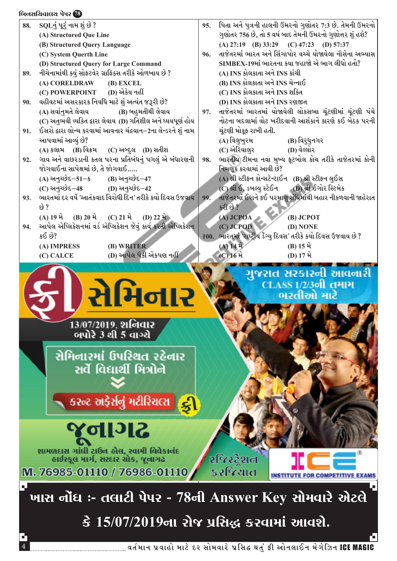#### lAG;lRJF,I 5[5Z **78** lAG;lRJF,I 5[5Z **78**  $88.$   $SOL$  $\dot{ }$   $4\dot{ }$   $4\dot{ }$   $4\dot{ }$   $4\dot{ }$   $8\dot{ }$   $3\dot{ }$ 95. પિતા અને પુત્રની હાલની ઉંમરનો ગુણોતર 7:3 છે. તેમની ઉંમરનો ગણોતર 756 છે, તો 5 વર્ષ બાદ તેમની ઉંમરનો ગુણોત્તર શું હશે? **(A) Structured Que Line (A) 27:19 (B) 33:29 (C) 47:23 (D) 57:37 (B) Structured Query Language** 96. તાજેતરમાં ભારત અને સિંગાપોર વચ્ચે યોજાયેલા નૌસેના અભ્યાસ **(C) System Querth Line**  SIMBEX-19માં ભારતના કયા જહાજો એ ભાગ લીધો હતો? **(D) Structured Query for Large Command** 89. નીચેનામાંથી કયું સોફ્ટવેર ગ્રાફિક્સ તરીકે ઓળખાય છે ? (A) INS કોલકાતા અને INS કાંચી **(B) INS કોલકાતા અને INS ચેન્નાઈ (A) CORELDRAW (B) EXCEL (C) POWERPOINT** (D) એકેય નહીં  $(C)$  INS કોલકાતા અને INS શકિત 90. વહીવટમાં અસરકારક નિવધિ માટે શં અત્યંત જરૂરી છે? **(D) INS કોલકાતા અને INS રણજીત (A)** ;JF"G]DT[ ,[JFI **(B)** AC]DTLYL ,[JFI 97. તાજેતરમાં ભારતમાં યોજાયેલી લોકસભા ચંટણીમાં ચંટણી પંચે (C) અતભવી વ્યકિત દ્વારા લેવાય (D) ગતિશીલ અને ધ્યયપૂર્ણ હોય નોટના બદલામાં વોટ ખરીદવાની આશંકાને કારણે કઈ બેઠક પરની 91. ઈસરો **દ્વારા લોન્ચ કરવામાં આવનાર ચંદ્રયાન–2ના** લેન્ડરને શં નામ ચંટણી મોકફ રાખી હતી. આપવામાં આવ્યં છે? (A) વિલુખુરમ (B) વિરુધુનગર<br>(C) એરિયાલર (D) વેલ્લોર (A) કલામ (B) વિક્રમ (C) અબ્દુલ (D) સતીશ (C) એરિયાલર 98. ભારતીય ટીમના નવા મખ્ય ફટબોલ કોચ તરીકે તાજેતરમાં કોની 92. ગાય અને વાછરડાની કતલ પરના પ્રતિબંધનં પગલં એ બંધારણની જોગવાઈના સાપેક્ષમાં છે. તે જોગવાઈ..... નિમણુક કરવામાં આવી છે? <u>(A) અનચ્છેદ–51–ક</u> (B) અનચ્છેદ–47</u> (A) શ્રી સ્ટીફન કોન્સટેન્ટાઈન (B) શ્રી સ્ટીફન લુઈસ<br>(C) શ્રી ઈ. ડબલ્ય સ્ટેઈન (D) શ્રી ઈગોર સ્ટિમેક (C) અનચ્છેદ–48 **(D)** અનચ્છેદ–42 (C) શ્રી ઈ. ડબલ્ય સ્ટેઈન 93. ભારતમાં દર વર્ષે 'આતંકવાદ વિરોધી દિન' તરીકે કયો દિવસ ઉજવાય 99. તાજેતરમાં ઈરાને કઈ પરમાણ સંધિમાંથી બહાર નીકળવાની જાહેરાત  $k\delta$  ?  $52.69.2$  $(A) 19 \hat{A}$   $(B) 20 \hat{A}$   $(C) 21 \hat{A}$   $(D) 22 \hat{A}$  **(A) JCPOA (B) JCPOT** 94. આપેલ એપ્લિકેશનમાં વર્ડ એપ્લિકેશન જેવું કાર્ય કરતી એપ્લિકેશન **(C) JCPOD (D) NONE** 100. ભારતમાં 'રાષ્ટ્રીય ડેંગ્યુ દિવસ' તરીકે કયો દિવસ ઉજવાય છે ?  $$8.89?$  **(A) IMPRESS (B) WRITER**  $(A) 14 \hat{A}$   $(B) 15 \hat{A}$ **(C) CALCE (D) આ**પેલ પૈકી એકપણ નહીં **(C)** 16 મે (D) 17 મે ગુજરાત સરકારની આવનારી **CLASS 1/2/301 तमाम** સેમિનાર ભરતીઓ માટે 13/07/2019, शनिवार બપોરે 3 થી 5 વાગ્યે સેમિનારમાં ઉપરિથત રહેનાર સર્વે વિદ્યાર્થી મિત્રોને કરન્ટ અફેર્સનું મટીરિચલ્સ <mark>દ્ભુ</mark> 8 पागढ શામળદાસ ગાંધી ટાઉન હોલ, સ્વામી વિવેકાનંદ રજિસ્ટ્રેશન હાઈસ્કૂલ માર્ગ, સરદાર ચોક, જૂનાગઢ કરજિયાત M. 76985-01110 / 76986-01110 ખાસ નોંધ :- તલાટી પેપર - 78ની Answer Key સોમવારે એટલે

4 JT"DFG 5|JFCM DF8[ NZ ;MDJFZ[ 5|l;â YT]\ ËL VMG,F.G D[U[lhG ICE MAGIC

<u>કે 15/07/2019ના રોજ પ્રસિદ્ધ કરવામાં આવશે.</u>